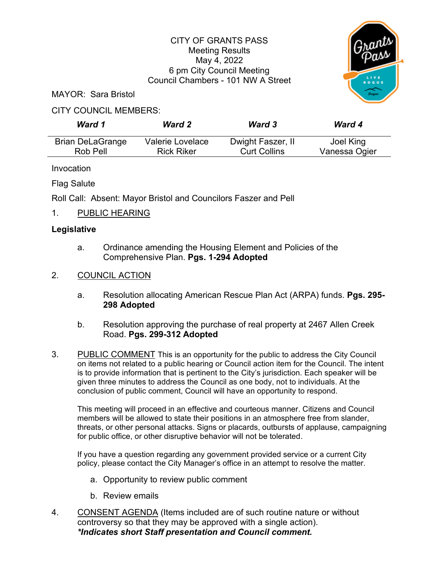## CITY OF GRANTS PASS Meeting Results May 4, 2022 6 pm City Council Meeting Council Chambers - 101 NW A Street



MAYOR: Sara Bristol

## CITY COUNCIL MEMBERS:

| Ward 1                  | <b>Ward 2</b>     | <b>Ward 3</b>       | <b>Ward 4</b> |
|-------------------------|-------------------|---------------------|---------------|
| <b>Brian DeLaGrange</b> | Valerie Lovelace  | Dwight Faszer, II   | Joel King     |
| Rob Pell                | <b>Rick Riker</b> | <b>Curt Collins</b> | Vanessa Ogier |

Invocation

Flag Salute

Roll Call: Absent: Mayor Bristol and Councilors Faszer and Pell

1. PUBLIC HEARING

## **Legislative**

- a. Ordinance amending the Housing Element and Policies of the Comprehensive Plan. **Pgs. 1-294 Adopted**
- 2. COUNCIL ACTION
	- a. Resolution allocating American Rescue Plan Act (ARPA) funds. **Pgs. 295- 298 Adopted**
	- b. Resolution approving the purchase of real property at 2467 Allen Creek Road. **Pgs. 299-312 Adopted**
- 3. PUBLIC COMMENT This is an opportunity for the public to address the City Council on items not related to a public hearing or Council action item for the Council. The intent is to provide information that is pertinent to the City's jurisdiction. Each speaker will be given three minutes to address the Council as one body, not to individuals. At the conclusion of public comment, Council will have an opportunity to respond.

This meeting will proceed in an effective and courteous manner. Citizens and Council members will be allowed to state their positions in an atmosphere free from slander, threats, or other personal attacks. Signs or placards, outbursts of applause, campaigning for public office, or other disruptive behavior will not be tolerated.

If you have a question regarding any government provided service or a current City policy, please contact the City Manager's office in an attempt to resolve the matter.

- a. Opportunity to review public comment
- b. Review emails
- 4. CONSENT AGENDA (Items included are of such routine nature or without controversy so that they may be approved with a single action). *\*Indicates short Staff presentation and Council comment.*